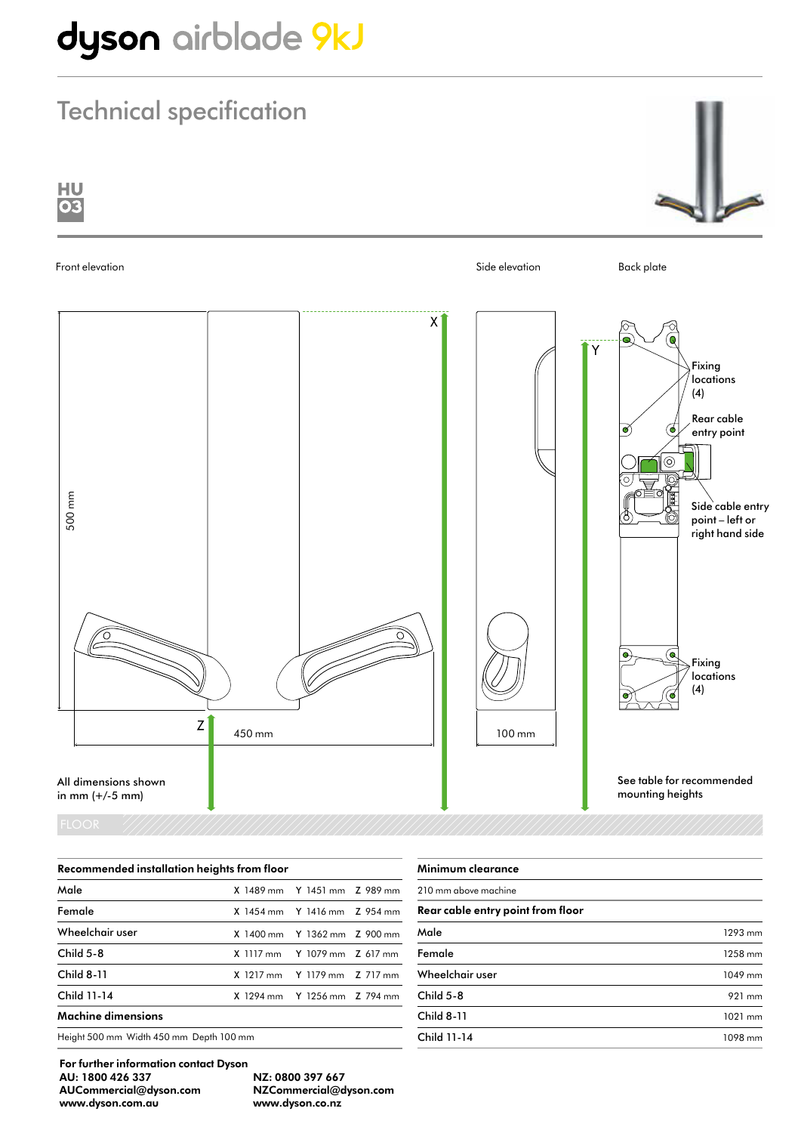# dyson airblade 9kJ

## Technical specification



| Recommended installation heights from floor |  |                                    |  |
|---------------------------------------------|--|------------------------------------|--|
| Male                                        |  | X 1489 mm Y 1451 mm Z 989 mm       |  |
| Female                                      |  | $X$ 1454 mm $Y$ 1416 mm $Z$ 954 mm |  |
| Wheelchair user                             |  | X 1400 mm Y 1362 mm Z 900 mm       |  |
| Child $5-8$                                 |  | X 1117 mm Y 1079 mm Z 617 mm       |  |
| <b>Child 8-11</b>                           |  | X 1217 mm Y 1179 mm Z 717 mm       |  |
| Child 11-14                                 |  | X 1294 mm Y 1256 mm Z 794 mm       |  |
| Machine dimensions                          |  |                                    |  |
| Height 500 mm Width 450 mm Depth 100 mm     |  |                                    |  |

| 1293 mm |
|---------|
| 1258 mm |
| 1049 mm |
| 921 mm  |
| 1021 mm |
| 1098 mm |
|         |

For further information contact Dyson AU: 1800 426 337 NZ: 0800 397 667 AUCommercial@dyson.com NZCommercial@dyson.com www.dyson.com.au